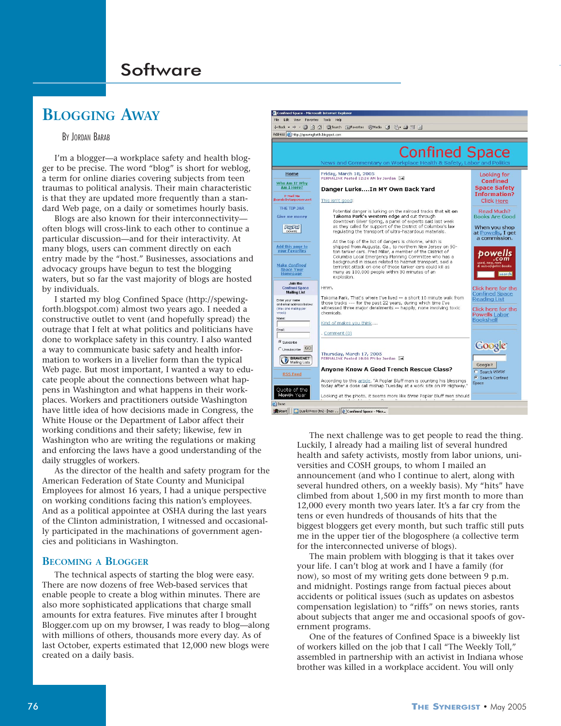# **BLOGGING AWAY**

### BY JORDAN BARAB

I'm a blogger—a workplace safety and health blogger to be precise. The word "blog" is short for weblog, a term for online diaries covering subjects from teen traumas to political analysis. Their main characteristic is that they are updated more frequently than a standard Web page, on a daily or sometimes hourly basis.

Blogs are also known for their interconnectivity often blogs will cross-link to each other to continue a particular discussion—and for their interactivity. At many blogs, users can comment directly on each entry made by the "host." Businesses, associations and advocacy groups have begun to test the blogging waters, but so far the vast majority of blogs are hosted by individuals.

I started my blog Confined Space (http://spewingforth.blogspot.com) almost two years ago. I needed a constructive outlet to vent (and hopefully spread) the outrage that I felt at what politics and politicians have done to workplace safety in this country. I also wanted a way to communicate basic safety and health information to workers in a livelier form than the typical Web page. But most important, I wanted a way to educate people about the connections between what happens in Washington and what happens in their workplaces. Workers and practitioners outside Washington have little idea of how decisions made in Congress, the White House or the Department of Labor affect their working conditions and their safety; likewise, few in Washington who are writing the regulations or making and enforcing the laws have a good understanding of the daily struggles of workers.

As the director of the health and safety program for the American Federation of State County and Municipal Employees for almost 16 years, I had a unique perspective on working conditions facing this nation's employees. And as a political appointee at OSHA during the last years of the Clinton administration, I witnessed and occasionally participated in the machinations of government agencies and politicians in Washington.

#### **BECOMING A BLOGGER**

The technical aspects of starting the blog were easy. There are now dozens of free Web-based services that enable people to create a blog within minutes. There are also more sophisticated applications that charge small amounts for extra features. Five minutes after I brought Blogger.com up on my browser, I was ready to blog—along with millions of others, thousands more every day. As of last October, experts estimated that 12,000 new blogs were created on a daily basis.



The next challenge was to get people to read the thing. Luckily, I already had a mailing list of several hundred health and safety activists, mostly from labor unions, universities and COSH groups, to whom I mailed an announcement (and who I continue to alert, along with several hundred others, on a weekly basis). My "hits" have climbed from about 1,500 in my first month to more than 12,000 every month two years later. It's a far cry from the tens or even hundreds of thousands of hits that the biggest bloggers get every month, but such traffic still puts me in the upper tier of the blogosphere (a collective term for the interconnected universe of blogs).

The main problem with blogging is that it takes over your life. I can't blog at work and I have a family (for now), so most of my writing gets done between 9 p.m. and midnight. Postings range from factual pieces about accidents or political issues (such as updates on asbestos compensation legislation) to "riffs" on news stories, rants about subjects that anger me and occasional spoofs of government programs.

One of the features of Confined Space is a biweekly list of workers killed on the job that I call "The Weekly Toll," assembled in partnership with an activist in Indiana whose brother was killed in a workplace accident. You will only